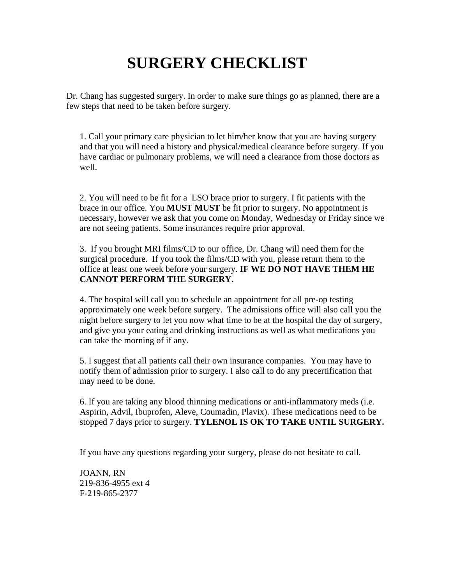# **SURGERY CHECKLIST**

Dr. Chang has suggested surgery. In order to make sure things go as planned, there are a few steps that need to be taken before surgery.

1. Call your primary care physician to let him/her know that you are having surgery and that you will need a history and physical/medical clearance before surgery. If you have cardiac or pulmonary problems, we will need a clearance from those doctors as well.

2. You will need to be fit for a LSO brace prior to surgery. I fit patients with the brace in our office. You **MUST MUST** be fit prior to surgery. No appointment is necessary, however we ask that you come on Monday, Wednesday or Friday since we are not seeing patients. Some insurances require prior approval.

3. If you brought MRI films/CD to our office, Dr. Chang will need them for the surgical procedure. If you took the films/CD with you, please return them to the office at least one week before your surgery. **IF WE DO NOT HAVE THEM HE CANNOT PERFORM THE SURGERY.**

4. The hospital will call you to schedule an appointment for all pre-op testing approximately one week before surgery. The admissions office will also call you the night before surgery to let you now what time to be at the hospital the day of surgery, and give you your eating and drinking instructions as well as what medications you can take the morning of if any.

5. I suggest that all patients call their own insurance companies. You may have to notify them of admission prior to surgery. I also call to do any precertification that may need to be done.

6. If you are taking any blood thinning medications or anti-inflammatory meds (i.e. Aspirin, Advil, Ibuprofen, Aleve, Coumadin, Plavix). These medications need to be stopped 7 days prior to surgery. **TYLENOL IS OK TO TAKE UNTIL SURGERY.** 

If you have any questions regarding your surgery, please do not hesitate to call.

JOANN, RN 219-836-4955 ext 4 F-219-865-2377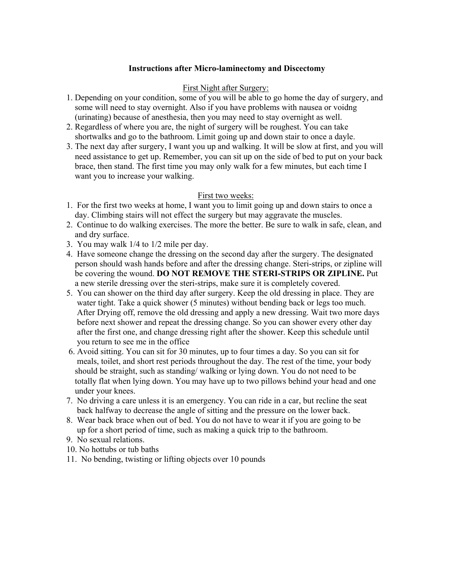## **Instructions after Micro-laminectomy and Discectomy**

#### First Night after Surgery:

- 1. Depending on your condition, some of you will be able to go home the day of surgery, and some will need to stay overnight. Also if you have problems with nausea or voidng (urinating) because of anesthesia, then you may need to stay overnight as well.
- 2. Regardless of where you are, the night of surgery will be roughest. You can take shortwalks and go to the bathroom. Limit going up and down stair to once a dayle.
- 3. The next day after surgery, I want you up and walking. It will be slow at first, and you will need assistance to get up. Remember, you can sit up on the side of bed to put on your back brace, then stand. The first time you may only walk for a few minutes, but each time I want you to increase your walking.

### First two weeks:

- 1. For the first two weeks at home, I want you to limit going up and down stairs to once a day. Climbing stairs will not effect the surgery but may aggravate the muscles.
- 2. Continue to do walking exercises. The more the better. Be sure to walk in safe, clean, and and dry surface.
- 3. You may walk 1/4 to 1/2 mile per day.
- 4. Have someone change the dressing on the second day after the surgery. The designated person should wash hands before and after the dressing change. Steri-strips, or zipline will be covering the wound. **DO NOT REMOVE THE STERI-STRIPS OR ZIPLINE.** Put a new sterile dressing over the steri-strips, make sure it is completely covered.
- 5. You can shower on the third day after surgery. Keep the old dressing in place. They are water tight. Take a quick shower (5 minutes) without bending back or legs too much. After Drying off, remove the old dressing and apply a new dressing. Wait two more days before next shower and repeat the dressing change. So you can shower every other day after the first one, and change dressing right after the shower. Keep this schedule until you return to see me in the office
- 6. Avoid sitting. You can sit for 30 minutes, up to four times a day. So you can sit for meals, toilet, and short rest periods throughout the day. The rest of the time, your body should be straight, such as standing/ walking or lying down. You do not need to be totally flat when lying down. You may have up to two pillows behind your head and one under your knees.
- 7. No driving a care unless it is an emergency. You can ride in a car, but recline the seat back halfway to decrease the angle of sitting and the pressure on the lower back.
- 8. Wear back brace when out of bed. You do not have to wear it if you are going to be up for a short period of time, such as making a quick trip to the bathroom.
- 9. No sexual relations.
- 10. No hottubs or tub baths
- 11. No bending, twisting or lifting objects over 10 pounds